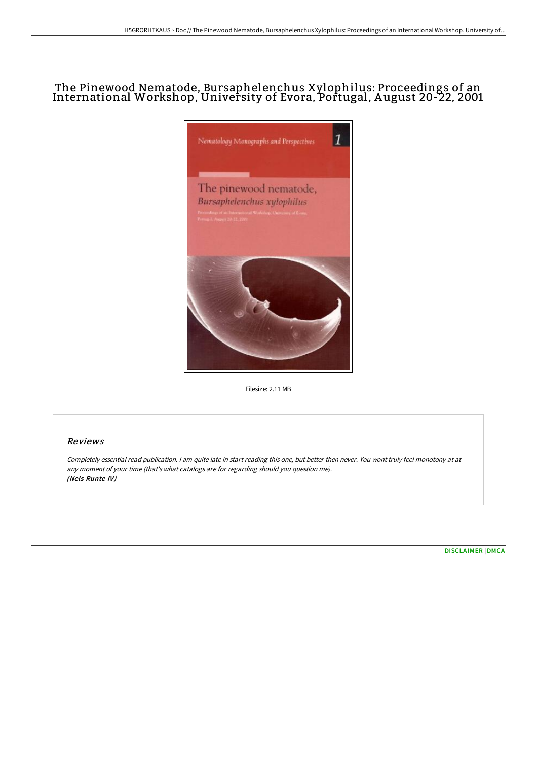# The Pinewood Nematode, Bursaphelenchus Xylophilus: Proceedings of an International Workshop, University of Evora, Portugal, A ugust 20-22, 2001



Filesize: 2.11 MB

## Reviews

Completely essential read publication. <sup>I</sup> am quite late in start reading this one, but better then never. You wont truly feel monotony at at any moment of your time (that's what catalogs are for regarding should you question me). (Nels Runte IV)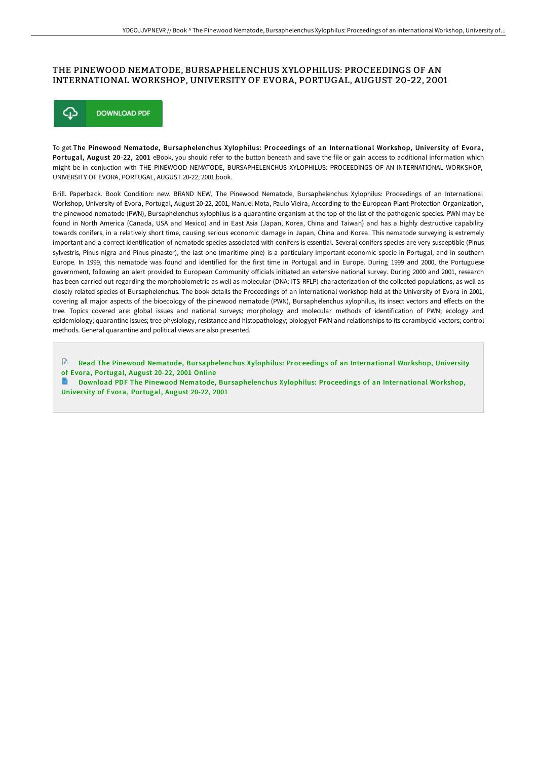#### THE PINEWOOD NEMATODE, BURSAPHELENCHUS XYLOPHILUS: PROCEEDINGS OF AN INTERNATIONAL WORKSHOP, UNIVERSITY OF EVORA, PORTUGAL, AUGUST 20-22, 2001



To get The Pinewood Nematode, Bursaphelenchus Xylophilus: Proceedings of an International Workshop, University of Evora, Portugal, August 20-22, 2001 eBook, you should refer to the button beneath and save the file or gain access to additional information which might be in conjuction with THE PINEWOOD NEMATODE, BURSAPHELENCHUS XYLOPHILUS: PROCEEDINGS OF AN INTERNATIONAL WORKSHOP, UNIVERSITY OF EVORA, PORTUGAL, AUGUST 20-22, 2001 book.

Brill. Paperback. Book Condition: new. BRAND NEW, The Pinewood Nematode, Bursaphelenchus Xylophilus: Proceedings of an International Workshop, University of Evora, Portugal, August 20-22, 2001, Manuel Mota, Paulo Vieira, According to the European Plant Protection Organization, the pinewood nematode (PWN), Bursaphelenchus xylophilus is a quarantine organism at the top of the list of the pathogenic species. PWN may be found in North America (Canada, USA and Mexico) and in East Asia (Japan, Korea, China and Taiwan) and has a highly destructive capability towards conifers, in a relatively short time, causing serious economic damage in Japan, China and Korea. This nematode surveying is extremely important and a correct identification of nematode species associated with conifers is essential. Several conifers species are very susceptible (Pinus sylvestris, Pinus nigra and Pinus pinaster), the last one (maritime pine) is a particulary important economic specie in Portugal, and in southern Europe. In 1999, this nematode was found and identified for the first time in Portugal and in Europe. During 1999 and 2000, the Portuguese government, following an alert provided to European Community officials initiated an extensive national survey. During 2000 and 2001, research has been carried out regarding the morphobiometric as well as molecular (DNA: ITS-RFLP) characterization of the collected populations, as well as closely related species of Bursaphelenchus. The book details the Proceedings of an international workshop held at the University of Evora in 2001, covering all major aspects of the bioecology of the pinewood nematode (PWN), Bursaphelenchus xylophilus, its insect vectors and effects on the tree. Topics covered are: global issues and national surveys; morphology and molecular methods of identification of PWN; ecology and epidemiology; quarantine issues; tree physiology, resistance and histopathology; biologyof PWN and relationships to its cerambycid vectors; control methods. General quarantine and political views are also presented.

 $\mathbb{P}$ Read The Pinewood Nematode, Bur[saphelenchus](http://techno-pub.tech/the-pinewood-nematode-bursaphelenchus-xylophilus.html) Xylophilus: Proceedings of an International Workshop, University of Evora, Portugal, August 20-22, 2001 Online

Download PDF The Pinewood Nematode, Bur[saphelenchus](http://techno-pub.tech/the-pinewood-nematode-bursaphelenchus-xylophilus.html) Xylophilus: Proceedings of an International Workshop, Univer sity of Evora, Portugal, August 20-22, 2001